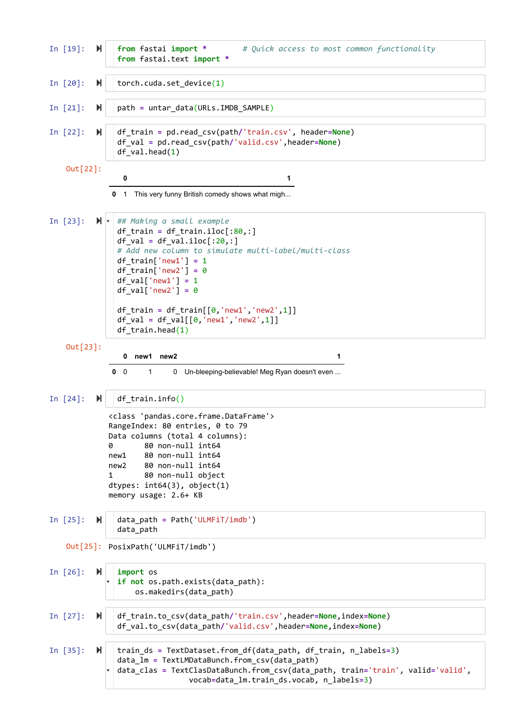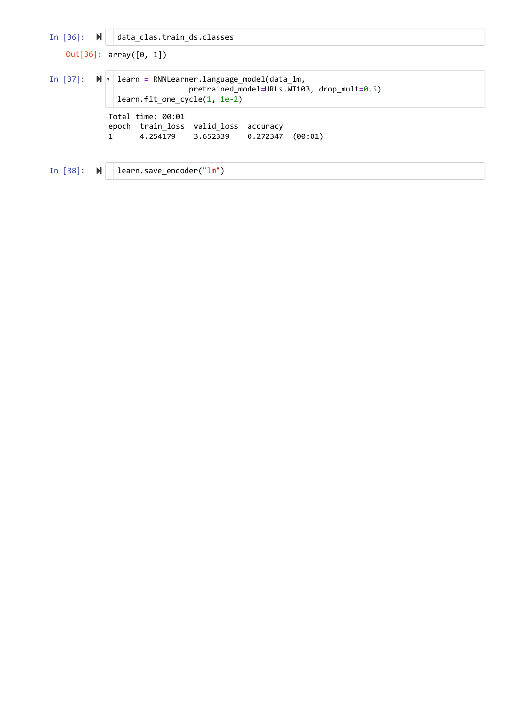```
In [36]: 
data_clas.train_ds.classes
In [37]: \mathbb{N} \mathbb{V} learn = RNNLearner.language_model(data_lm,
In [38]: \blacktriangleright | learn.save_encoder("lm")
   Out[36]: array([0, 1])
             Total time: 00:01
             epoch train_loss valid_loss accuracy
             1 4.254179 3.652339 0.272347 (00:01)
                                pretrained_model=URLs.WT103, drop_mult=0.5)
               learn.fit_one_cycle(1, 1e-2)
```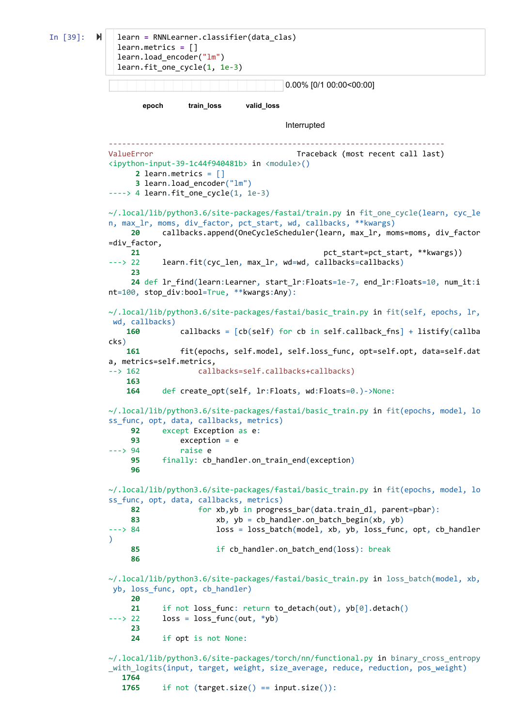```
In [39]: M
                                                  0.00% [0/1 00:00<00:00]
                   epoch train_loss valid_loss
                                                  Interrupted
                                                    ---------------------------------------------------------------------------
            ValueError Traceback (most recent call last)
            <ipython-input-39-1c44f940481b> in <module>()
                   2 learn.metrics = []
                   3 learn.load_encoder("lm")
            ---> 4 learn. fit one cycle(1, 1e-3)
            ~/.local/lib/python3.6/site-packages/fastai/train.py in fit_one_cycle(learn, cyc_le
            n, max_lr, moms, div_factor, pct_start, wd, callbacks, **kwargs)
                  20 callbacks.append(OneCycleScheduler(learn, max_lr, moms=moms, div_factor
            =div_factor,
                 21 pct_start=pct_start, **kwargs)
            ---> 22 learn.fit(cyc_len, max_lr, wd=wd, callbacks=callbacks)
                  23
                  24 def lr_find(learn:Learner, start_lr:Floats=1e-7, end_lr:Floats=10, num_it:i
            nt=100, stop div:bool=True, **kwargs:Any):
            \sim/.local/lib/python3.6/site-packages/fastai/basic train.py in fit(self, epochs, lr,
             wd, callbacks)
                 160 callbacks = [cb(self) for cb in self.callback_fns] + listify(callba
            cks)
                 161 fit(epochs, self.model, self.loss_func, opt=self.opt, data=self.dat
            a, metrics=self.metrics,
            --> 162 callbacks=self.callbacks+callbacks)
                 163
                 164 def create_opt(self, lr:Floats, wd:Floats=0.)->None:
            ~/.local/lib/python3.6/site-packages/fastai/basic_train.py in fit(epochs, model, lo
            ss_func, opt, data, callbacks, metrics)
                  92 except Exception as e:
                  93 exception = e
             ---> 94 raise e
                  95 finally: cb_handler.on_train_end(exception)
                  96
            ~/.local/lib/python3.6/site-packages/fastai/basic_train.py in fit(epochs, model, lo
            ss_func, opt, data, callbacks, metrics)
                  82 for xb,yb in progress_bar(data.train_dl, parent=pbar):
                  83 xb, yb = cb_handler.on_batch_begin(xb, yb)
            ---> 84 loss = loss_batch(model, xb, yb, loss_func, opt, cb_handler
            )
                  85 if cb_handler.on_batch_end(loss): break
                  86
            ~/.local/lib/python3.6/site-packages/fastai/basic train.py in loss batch(model, xb,
             yb, loss_func, opt, cb_handler)
                  20
                 21 if not loss func: return to detach(out), yb[0].detach()
            ---> 22 loss = loss_func(out, *yb)
                  23
                  24 if opt is not None:
            ~/.local/lib/python3.6/site-packages/torch/nn/functional.py in binary_cross_entropy
            _with_logits(input, target, weight, size_average, reduce, reduction, pos_weight)
                1764
                1765 if not (target.size() == input.size()):
              learn = RNNLearner.classifier(data_clas)
              learn.metrics = []
              learn.load_encoder("lm")
              learn.fit_one_cycle(1, 1e-3)
```